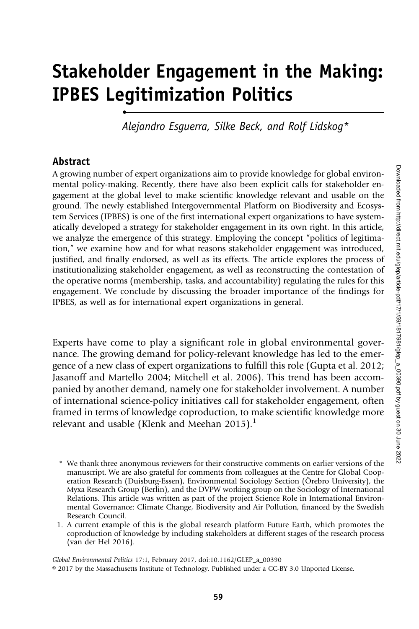# Stakeholder Engagement in the Making: IPBES Legitimization Politics

• Alejandro Esguerra, Silke Beck, and Rolf Lidskog\*

#### Abstract

A growing number of expert organizations aim to provide knowledge for global environmental policy-making. Recently, there have also been explicit calls for stakeholder engagement at the global level to make scientific knowledge relevant and usable on the ground. The newly established Intergovernmental Platform on Biodiversity and Ecosystem Services (IPBES) is one of the first international expert organizations to have systematically developed a strategy for stakeholder engagement in its own right. In this article, we analyze the emergence of this strategy. Employing the concept "politics of legitimation," we examine how and for what reasons stakeholder engagement was introduced, justified, and finally endorsed, as well as its effects. The article explores the process of institutionalizing stakeholder engagement, as well as reconstructing the contestation of the operative norms (membership, tasks, and accountability) regulating the rules for this engagement. We conclude by discussing the broader importance of the findings for IPBES, as well as for international expert organizations in general.

Experts have come to play a significant role in global environmental governance. The growing demand for policy-relevant knowledge has led to the emergence of a new class of expert organizations to fulfill this role (Gupta et al. 2012; Jasanoff and Martello 2004; Mitchell et al. 2006). This trend has been accompanied by another demand, namely one for stakeholder involvement. A number of international science-policy initiatives call for stakeholder engagement, often framed in terms of knowledge coproduction, to make scientific knowledge more relevant and usable (Klenk and Meehan  $2015$ ).<sup>1</sup>

1. A current example of this is the global research platform Future Earth, which promotes the coproduction of knowledge by including stakeholders at different stages of the research process (van der Hel 2016).

Global Environmental Politics 17:1, February 2017, doi:10.1162/GLEP\_a\_00390

<sup>\*</sup> We thank three anonymous reviewers for their constructive comments on earlier versions of the manuscript. We are also grateful for comments from colleagues at the Centre for Global Cooperation Research (Duisburg-Essen), Environmental Sociology Section (Örebro University), the Myxa Research Group (Berlin), and the DVPW working group on the Sociology of International Relations. This article was written as part of the project Science Role in International Environmental Governance: Climate Change, Biodiversity and Air Pollution, financed by the Swedish Research Council.

<sup>© 2017</sup> by the Massachusetts Institute of Technology. Published under a CC-BY 3.0 Unported License.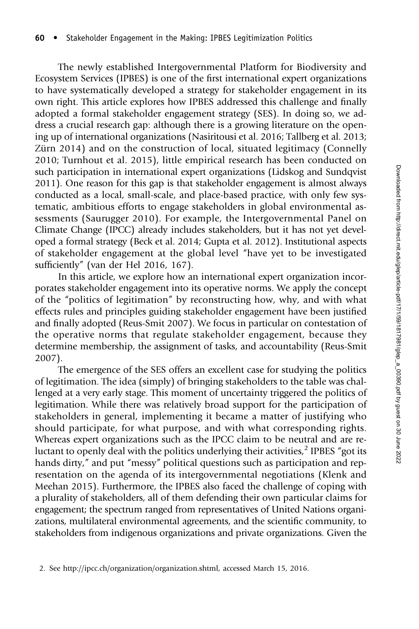The newly established Intergovernmental Platform for Biodiversity and Ecosystem Services (IPBES) is one of the first international expert organizations to have systematically developed a strategy for stakeholder engagement in its own right. This article explores how IPBES addressed this challenge and finally adopted a formal stakeholder engagement strategy (SES). In doing so, we address a crucial research gap: although there is a growing literature on the opening up of international organizations (Nasiritousi et al. 2016; Tallberg et al. 2013; Zürn 2014) and on the construction of local, situated legitimacy (Connelly 2010; Turnhout et al. 2015), little empirical research has been conducted on such participation in international expert organizations (Lidskog and Sundqvist 2011). One reason for this gap is that stakeholder engagement is almost always conducted as a local, small-scale, and place-based practice, with only few systematic, ambitious efforts to engage stakeholders in global environmental assessments (Saurugger 2010). For example, the Intergovernmental Panel on Climate Change (IPCC) already includes stakeholders, but it has not yet developed a formal strategy (Beck et al. 2014; Gupta et al. 2012). Institutional aspects of stakeholder engagement at the global level "have yet to be investigated sufficiently" (van der Hel 2016, 167).

In this article, we explore how an international expert organization incorporates stakeholder engagement into its operative norms. We apply the concept of the "politics of legitimation" by reconstructing how, why, and with what effects rules and principles guiding stakeholder engagement have been justified and finally adopted (Reus-Smit 2007). We focus in particular on contestation of the operative norms that regulate stakeholder engagement, because they determine membership, the assignment of tasks, and accountability (Reus-Smit 2007).

The emergence of the SES offers an excellent case for studying the politics of legitimation. The idea (simply) of bringing stakeholders to the table was challenged at a very early stage. This moment of uncertainty triggered the politics of legitimation. While there was relatively broad support for the participation of stakeholders in general, implementing it became a matter of justifying who should participate, for what purpose, and with what corresponding rights. Whereas expert organizations such as the IPCC claim to be neutral and are reluctant to openly deal with the politics underlying their activities,<sup>2</sup> IPBES "got its hands dirty," and put "messy" political questions such as participation and representation on the agenda of its intergovernmental negotiations (Klenk and Meehan 2015). Furthermore, the IPBES also faced the challenge of coping with a plurality of stakeholders, all of them defending their own particular claims for engagement; the spectrum ranged from representatives of United Nations organizations, multilateral environmental agreements, and the scientific community, to stakeholders from indigenous organizations and private organizations. Given the

<sup>2.</sup> See http://ipcc.ch/organization/organization.shtml, accessed March 15, 2016.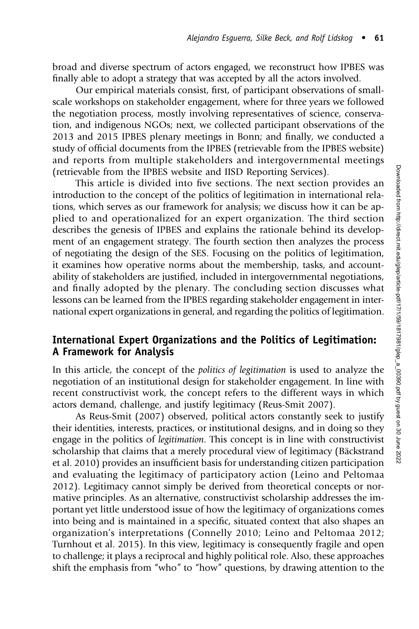broad and diverse spectrum of actors engaged, we reconstruct how IPBES was finally able to adopt a strategy that was accepted by all the actors involved.

Our empirical materials consist, first, of participant observations of smallscale workshops on stakeholder engagement, where for three years we followed the negotiation process, mostly involving representatives of science, conservation, and indigenous NGOs; next, we collected participant observations of the 2013 and 2015 IPBES plenary meetings in Bonn; and finally, we conducted a study of official documents from the IPBES (retrievable from the IPBES website) and reports from multiple stakeholders and intergovernmental meetings (retrievable from the IPBES website and IISD Reporting Services).

This article is divided into five sections. The next section provides an introduction to the concept of the politics of legitimation in international relations, which serves as our framework for analysis; we discuss how it can be applied to and operationalized for an expert organization. The third section describes the genesis of IPBES and explains the rationale behind its development of an engagement strategy. The fourth section then analyzes the process of negotiating the design of the SES. Focusing on the politics of legitimation, it examines how operative norms about the membership, tasks, and accountability of stakeholders are justified, included in intergovernmental negotiations, and finally adopted by the plenary. The concluding section discusses what lessons can be learned from the IPBES regarding stakeholder engagement in international expert organizations in general, and regarding the politics of legitimation.

## International Expert Organizations and the Politics of Legitimation: A Framework for Analysis

In this article, the concept of the politics of legitimation is used to analyze the negotiation of an institutional design for stakeholder engagement. In line with recent constructivist work, the concept refers to the different ways in which actors demand, challenge, and justify legitimacy (Reus-Smit 2007).

As Reus-Smit (2007) observed, political actors constantly seek to justify their identities, interests, practices, or institutional designs, and in doing so they engage in the politics of legitimation. This concept is in line with constructivist scholarship that claims that a merely procedural view of legitimacy (Bäckstrand et al. 2010) provides an insufficient basis for understanding citizen participation and evaluating the legitimacy of participatory action (Leino and Peltomaa 2012). Legitimacy cannot simply be derived from theoretical concepts or normative principles. As an alternative, constructivist scholarship addresses the important yet little understood issue of how the legitimacy of organizations comes into being and is maintained in a specific, situated context that also shapes an organization's interpretations (Connelly 2010; Leino and Peltomaa 2012; Turnhout et al. 2015). In this view, legitimacy is consequently fragile and open to challenge; it plays a reciprocal and highly political role. Also, these approaches shift the emphasis from "who" to "how" questions, by drawing attention to the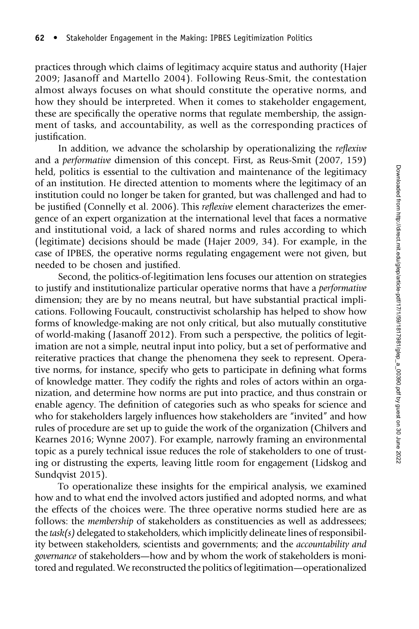practices through which claims of legitimacy acquire status and authority (Hajer 2009; Jasanoff and Martello 2004). Following Reus-Smit, the contestation almost always focuses on what should constitute the operative norms, and how they should be interpreted. When it comes to stakeholder engagement, these are specifically the operative norms that regulate membership, the assignment of tasks, and accountability, as well as the corresponding practices of justification.

In addition, we advance the scholarship by operationalizing the reflexive and a performative dimension of this concept. First, as Reus-Smit (2007, 159) held, politics is essential to the cultivation and maintenance of the legitimacy of an institution. He directed attention to moments where the legitimacy of an institution could no longer be taken for granted, but was challenged and had to be justified (Connelly et al. 2006). This reflexive element characterizes the emergence of an expert organization at the international level that faces a normative and institutional void, a lack of shared norms and rules according to which (legitimate) decisions should be made (Hajer 2009, 34). For example, in the case of IPBES, the operative norms regulating engagement were not given, but needed to be chosen and justified.

Second, the politics-of-legitimation lens focuses our attention on strategies to justify and institutionalize particular operative norms that have a performative dimension; they are by no means neutral, but have substantial practical implications. Following Foucault, constructivist scholarship has helped to show how forms of knowledge-making are not only critical, but also mutually constitutive of world-making ( Jasanoff 2012). From such a perspective, the politics of legitimation are not a simple, neutral input into policy, but a set of performative and reiterative practices that change the phenomena they seek to represent. Operative norms, for instance, specify who gets to participate in defining what forms of knowledge matter. They codify the rights and roles of actors within an organization, and determine how norms are put into practice, and thus constrain or enable agency. The definition of categories such as who speaks for science and who for stakeholders largely influences how stakeholders are "invited" and how rules of procedure are set up to guide the work of the organization (Chilvers and Kearnes 2016; Wynne 2007). For example, narrowly framing an environmental topic as a purely technical issue reduces the role of stakeholders to one of trusting or distrusting the experts, leaving little room for engagement (Lidskog and Sundqvist 2015).

To operationalize these insights for the empirical analysis, we examined how and to what end the involved actors justified and adopted norms, and what the effects of the choices were. The three operative norms studied here are as follows: the *membership* of stakeholders as constituencies as well as addressees; the  $task(s)$  delegated to stakeholders, which implicitly delineate lines of responsibility between stakeholders, scientists and governments; and the accountability and governance of stakeholders—how and by whom the work of stakeholders is monitored and regulated. We reconstructed the politics of legitimation—operationalized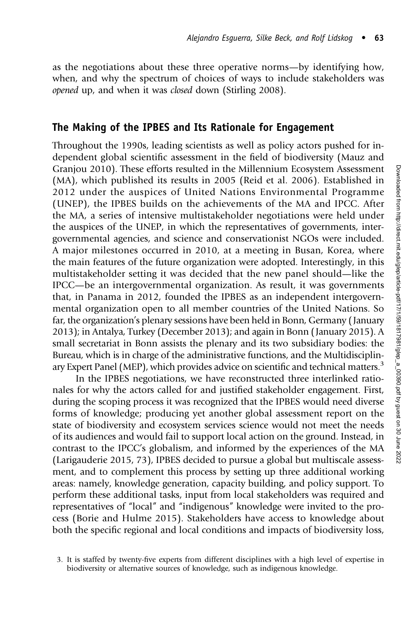as the negotiations about these three operative norms—by identifying how, when, and why the spectrum of choices of ways to include stakeholders was opened up, and when it was closed down (Stirling 2008).

## The Making of the IPBES and Its Rationale for Engagement

Throughout the 1990s, leading scientists as well as policy actors pushed for independent global scientific assessment in the field of biodiversity (Mauz and Granjou 2010). These efforts resulted in the Millennium Ecosystem Assessment (MA), which published its results in 2005 (Reid et al. 2006). Established in 2012 under the auspices of United Nations Environmental Programme (UNEP), the IPBES builds on the achievements of the MA and IPCC. After the MA, a series of intensive multistakeholder negotiations were held under the auspices of the UNEP, in which the representatives of governments, intergovernmental agencies, and science and conservationist NGOs were included. A major milestones occurred in 2010, at a meeting in Busan, Korea, where the main features of the future organization were adopted. Interestingly, in this multistakeholder setting it was decided that the new panel should—like the IPCC—be an intergovernmental organization. As result, it was governments that, in Panama in 2012, founded the IPBES as an independent intergovernmental organization open to all member countries of the United Nations. So far, the organization's plenary sessions have been held in Bonn, Germany ( January 2013); in Antalya, Turkey (December 2013); and again in Bonn ( January 2015). A small secretariat in Bonn assists the plenary and its two subsidiary bodies: the Bureau, which is in charge of the administrative functions, and the Multidisciplinary Expert Panel (MEP), which provides advice on scientific and technical matters.<sup>3</sup>

In the IPBES negotiations, we have reconstructed three interlinked rationales for why the actors called for and justified stakeholder engagement. First, during the scoping process it was recognized that the IPBES would need diverse forms of knowledge; producing yet another global assessment report on the state of biodiversity and ecosystem services science would not meet the needs of its audiences and would fail to support local action on the ground. Instead, in contrast to the IPCC's globalism, and informed by the experiences of the MA (Larigauderie 2015, 73), IPBES decided to pursue a global but multiscale assessment, and to complement this process by setting up three additional working areas: namely, knowledge generation, capacity building, and policy support. To perform these additional tasks, input from local stakeholders was required and representatives of "local" and "indigenous" knowledge were invited to the process (Borie and Hulme 2015). Stakeholders have access to knowledge about both the specific regional and local conditions and impacts of biodiversity loss,

<sup>3.</sup> It is staffed by twenty-five experts from different disciplines with a high level of expertise in biodiversity or alternative sources of knowledge, such as indigenous knowledge.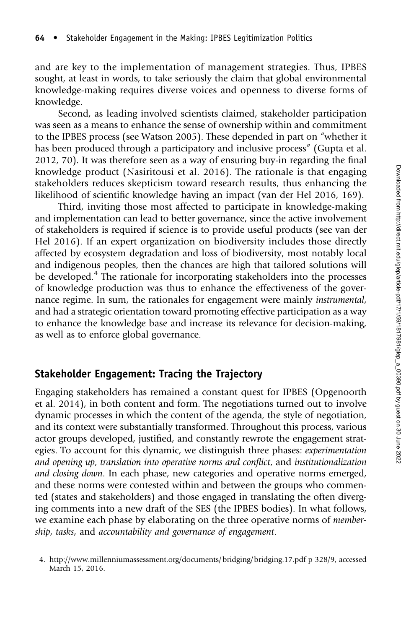and are key to the implementation of management strategies. Thus, IPBES sought, at least in words, to take seriously the claim that global environmental knowledge-making requires diverse voices and openness to diverse forms of knowledge.

Second, as leading involved scientists claimed, stakeholder participation was seen as a means to enhance the sense of ownership within and commitment to the IPBES process (see Watson 2005). These depended in part on "whether it has been produced through a participatory and inclusive process" (Gupta et al. 2012, 70). It was therefore seen as a way of ensuring buy-in regarding the final knowledge product (Nasiritousi et al. 2016). The rationale is that engaging stakeholders reduces skepticism toward research results, thus enhancing the likelihood of scientific knowledge having an impact (van der Hel 2016, 169).

Third, inviting those most affected to participate in knowledge-making and implementation can lead to better governance, since the active involvement of stakeholders is required if science is to provide useful products (see van der Hel 2016). If an expert organization on biodiversity includes those directly affected by ecosystem degradation and loss of biodiversity, most notably local and indigenous peoples, then the chances are high that tailored solutions will be developed.<sup>4</sup> The rationale for incorporating stakeholders into the processes of knowledge production was thus to enhance the effectiveness of the governance regime. In sum, the rationales for engagement were mainly instrumental, and had a strategic orientation toward promoting effective participation as a way to enhance the knowledge base and increase its relevance for decision-making, as well as to enforce global governance.

## Stakeholder Engagement: Tracing the Trajectory

Engaging stakeholders has remained a constant quest for IPBES (Opgenoorth et al. 2014), in both content and form. The negotiations turned out to involve dynamic processes in which the content of the agenda, the style of negotiation, and its context were substantially transformed. Throughout this process, various actor groups developed, justified, and constantly rewrote the engagement strategies. To account for this dynamic, we distinguish three phases: experimentation and opening up, translation into operative norms and conflict, and institutionalization and closing down. In each phase, new categories and operative norms emerged, and these norms were contested within and between the groups who commented (states and stakeholders) and those engaged in translating the often diverging comments into a new draft of the SES (the IPBES bodies). In what follows, we examine each phase by elaborating on the three operative norms of *member*ship, tasks, and accountability and governance of engagement.

<sup>4.</sup> http://www.millenniumassessment.org/documents/ bridging/bridging.17.pdf p 328/9, accessed March 15, 2016.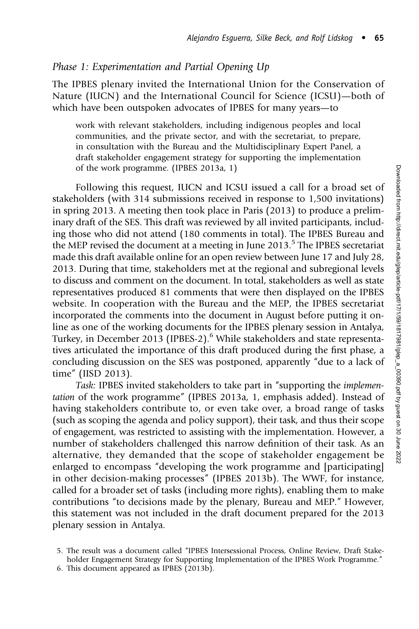#### Phase 1: Experimentation and Partial Opening Up

The IPBES plenary invited the International Union for the Conservation of Nature (IUCN) and the International Council for Science (ICSU)—both of which have been outspoken advocates of IPBES for many years—to

work with relevant stakeholders, including indigenous peoples and local communities, and the private sector, and with the secretariat, to prepare, in consultation with the Bureau and the Multidisciplinary Expert Panel, a draft stakeholder engagement strategy for supporting the implementation of the work programme. (IPBES 2013a, 1)

Following this request, IUCN and ICSU issued a call for a broad set of stakeholders (with 314 submissions received in response to 1,500 invitations) in spring 2013. A meeting then took place in Paris (2013) to produce a preliminary draft of the SES. This draft was reviewed by all invited participants, including those who did not attend (180 comments in total). The IPBES Bureau and the MEP revised the document at a meeting in June 2013.<sup>5</sup> The IPBES secretariat made this draft available online for an open review between June 17 and July 28, 2013. During that time, stakeholders met at the regional and subregional levels to discuss and comment on the document. In total, stakeholders as well as state representatives produced 81 comments that were then displayed on the IPBES website. In cooperation with the Bureau and the MEP, the IPBES secretariat incorporated the comments into the document in August before putting it online as one of the working documents for the IPBES plenary session in Antalya, Turkey, in December 2013 (IPBES-2).<sup>6</sup> While stakeholders and state representatives articulated the importance of this draft produced during the first phase, a concluding discussion on the SES was postponed, apparently "due to a lack of time" (IISD 2013).

Task: IPBES invited stakeholders to take part in "supporting the *implemen*tation of the work programme" (IPBES 2013a, 1, emphasis added). Instead of having stakeholders contribute to, or even take over, a broad range of tasks (such as scoping the agenda and policy support), their task, and thus their scope of engagement, was restricted to assisting with the implementation. However, a number of stakeholders challenged this narrow definition of their task. As an alternative, they demanded that the scope of stakeholder engagement be enlarged to encompass "developing the work programme and [participating] in other decision-making processes" (IPBES 2013b). The WWF, for instance, called for a broader set of tasks (including more rights), enabling them to make contributions "to decisions made by the plenary, Bureau and MEP." However, this statement was not included in the draft document prepared for the 2013 plenary session in Antalya.

6. This document appeared as IPBES (2013b).

<sup>5.</sup> The result was a document called "IPBES Intersessional Process, Online Review, Draft Stakeholder Engagement Strategy for Supporting Implementation of the IPBES Work Programme."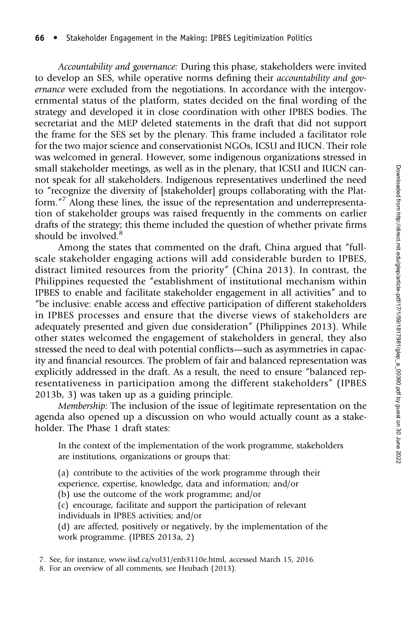Accountability and governance: During this phase, stakeholders were invited to develop an SES, while operative norms defining their accountability and governance were excluded from the negotiations. In accordance with the intergovernmental status of the platform, states decided on the final wording of the strategy and developed it in close coordination with other IPBES bodies. The secretariat and the MEP deleted statements in the draft that did not support the frame for the SES set by the plenary. This frame included a facilitator role for the two major science and conservationist NGOs, ICSU and IUCN. Their role was welcomed in general. However, some indigenous organizations stressed in small stakeholder meetings, as well as in the plenary, that ICSU and IUCN cannot speak for all stakeholders. Indigenous representatives underlined the need to "recognize the diversity of [stakeholder] groups collaborating with the Platform." <sup>7</sup> Along these lines, the issue of the representation and underrepresentation of stakeholder groups was raised frequently in the comments on earlier drafts of the strategy; this theme included the question of whether private firms should be involved. $8$ 

Among the states that commented on the draft, China argued that "fullscale stakeholder engaging actions will add considerable burden to IPBES, distract limited resources from the priority" (China 2013). In contrast, the Philippines requested the "establishment of institutional mechanism within IPBES to enable and facilitate stakeholder engagement in all activities" and to "be inclusive: enable access and effective participation of different stakeholders in IPBES processes and ensure that the diverse views of stakeholders are adequately presented and given due consideration" (Philippines 2013). While other states welcomed the engagement of stakeholders in general, they also stressed the need to deal with potential conflicts—such as asymmetries in capacity and financial resources. The problem of fair and balanced representation was explicitly addressed in the draft. As a result, the need to ensure "balanced representativeness in participation among the different stakeholders" (IPBES 2013b, 3) was taken up as a guiding principle.

Membership: The inclusion of the issue of legitimate representation on the agenda also opened up a discussion on who would actually count as a stakeholder. The Phase 1 draft states:

In the context of the implementation of the work programme, stakeholders are institutions, organizations or groups that:

(a) contribute to the activities of the work programme through their

experience, expertise, knowledge, data and information; and/or

(b) use the outcome of the work programme; and/or

(c) encourage, facilitate and support the participation of relevant individuals in IPBES activities; and/or

(d) are affected, positively or negatively, by the implementation of the work programme. (IPBES 2013a, 2)

<sup>7.</sup> See, for instance, www.iisd.ca/vol31/enb3110e.html, accessed March 15, 2016.

<sup>8.</sup> For an overview of all comments, see Heubach (2013).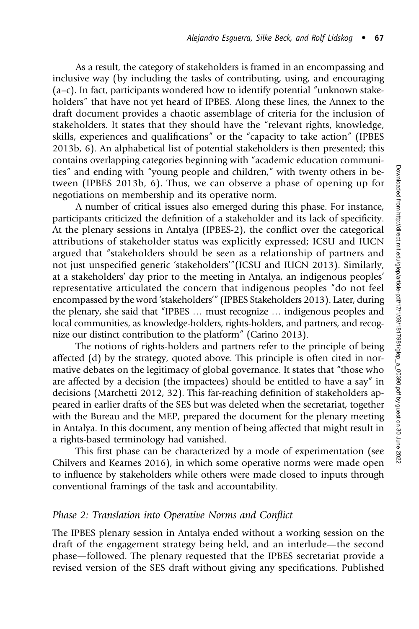As a result, the category of stakeholders is framed in an encompassing and inclusive way (by including the tasks of contributing, using, and encouraging (a–c). In fact, participants wondered how to identify potential "unknown stakeholders" that have not yet heard of IPBES. Along these lines, the Annex to the draft document provides a chaotic assemblage of criteria for the inclusion of stakeholders. It states that they should have the "relevant rights, knowledge, skills, experiences and qualifications" or the "capacity to take action" (IPBES 2013b, 6). An alphabetical list of potential stakeholders is then presented; this contains overlapping categories beginning with "academic education communities" and ending with "young people and children," with twenty others in between (IPBES 2013b, 6). Thus, we can observe a phase of opening up for negotiations on membership and its operative norm.

A number of critical issues also emerged during this phase. For instance, participants criticized the definition of a stakeholder and its lack of specificity. At the plenary sessions in Antalya (IPBES-2), the conflict over the categorical attributions of stakeholder status was explicitly expressed; ICSU and IUCN argued that "stakeholders should be seen as a relationship of partners and not just unspecified generic 'stakeholders'"(ICSU and IUCN 2013). Similarly, at a stakeholders' day prior to the meeting in Antalya, an indigenous peoples' representative articulated the concern that indigenous peoples "do not feel encompassed by the word 'stakeholders'" (IPBES Stakeholders 2013). Later, during the plenary, she said that "IPBES … must recognize … indigenous peoples and local communities, as knowledge-holders, rights-holders, and partners, and recognize our distinct contribution to the platform" (Carino 2013).

The notions of rights-holders and partners refer to the principle of being affected (d) by the strategy, quoted above. This principle is often cited in normative debates on the legitimacy of global governance. It states that "those who are affected by a decision (the impactees) should be entitled to have a say" in decisions (Marchetti 2012, 32). This far-reaching definition of stakeholders appeared in earlier drafts of the SES but was deleted when the secretariat, together with the Bureau and the MEP, prepared the document for the plenary meeting in Antalya. In this document, any mention of being affected that might result in a rights-based terminology had vanished.

This first phase can be characterized by a mode of experimentation (see Chilvers and Kearnes 2016), in which some operative norms were made open to influence by stakeholders while others were made closed to inputs through conventional framings of the task and accountability.

#### Phase 2: Translation into Operative Norms and Conflict

The IPBES plenary session in Antalya ended without a working session on the draft of the engagement strategy being held, and an interlude—the second phase—followed. The plenary requested that the IPBES secretariat provide a revised version of the SES draft without giving any specifications. Published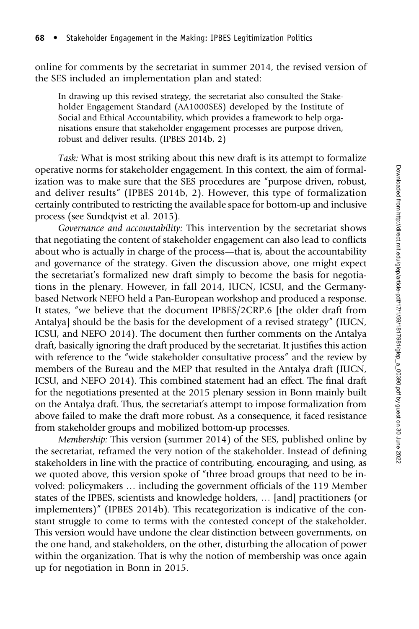online for comments by the secretariat in summer 2014, the revised version of the SES included an implementation plan and stated:

In drawing up this revised strategy, the secretariat also consulted the Stakeholder Engagement Standard (AA1000SES) developed by the Institute of Social and Ethical Accountability, which provides a framework to help organisations ensure that stakeholder engagement processes are purpose driven, robust and deliver results. (IPBES 2014b, 2)

Task: What is most striking about this new draft is its attempt to formalize operative norms for stakeholder engagement. In this context, the aim of formalization was to make sure that the SES procedures are "purpose driven, robust, and deliver results" (IPBES 2014b, 2). However, this type of formalization certainly contributed to restricting the available space for bottom-up and inclusive process (see Sundqvist et al. 2015).

Governance and accountability: This intervention by the secretariat shows that negotiating the content of stakeholder engagement can also lead to conflicts about who is actually in charge of the process—that is, about the accountability and governance of the strategy. Given the discussion above, one might expect the secretariat's formalized new draft simply to become the basis for negotiations in the plenary. However, in fall 2014, IUCN, ICSU, and the Germanybased Network NEFO held a Pan-European workshop and produced a response. It states, "we believe that the document IPBES/2CRP.6 [the older draft from Antalya] should be the basis for the development of a revised strategy" (IUCN, ICSU, and NEFO 2014). The document then further comments on the Antalya draft, basically ignoring the draft produced by the secretariat. It justifies this action with reference to the "wide stakeholder consultative process" and the review by members of the Bureau and the MEP that resulted in the Antalya draft (IUCN, ICSU, and NEFO 2014). This combined statement had an effect. The final draft for the negotiations presented at the 2015 plenary session in Bonn mainly built on the Antalya draft. Thus, the secretariat's attempt to impose formalization from above failed to make the draft more robust. As a consequence, it faced resistance from stakeholder groups and mobilized bottom-up processes.

Membership: This version (summer 2014) of the SES, published online by the secretariat, reframed the very notion of the stakeholder. Instead of defining stakeholders in line with the practice of contributing, encouraging, and using, as we quoted above, this version spoke of "three broad groups that need to be involved: policymakers … including the government officials of the 119 Member states of the IPBES, scientists and knowledge holders, … [and] practitioners (or implementers)" (IPBES 2014b). This recategorization is indicative of the constant struggle to come to terms with the contested concept of the stakeholder. This version would have undone the clear distinction between governments, on the one hand, and stakeholders, on the other, disturbing the allocation of power within the organization. That is why the notion of membership was once again up for negotiation in Bonn in 2015.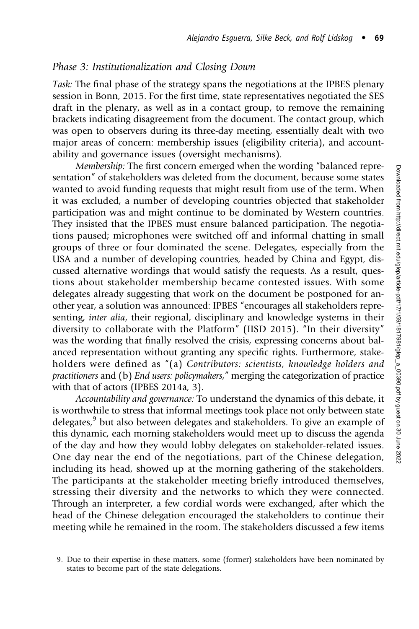#### Phase 3: Institutionalization and Closing Down

Task: The final phase of the strategy spans the negotiations at the IPBES plenary session in Bonn, 2015. For the first time, state representatives negotiated the SES draft in the plenary, as well as in a contact group, to remove the remaining brackets indicating disagreement from the document. The contact group, which was open to observers during its three-day meeting, essentially dealt with two major areas of concern: membership issues (eligibility criteria), and accountability and governance issues (oversight mechanisms).

Membership: The first concern emerged when the wording "balanced representation" of stakeholders was deleted from the document, because some states wanted to avoid funding requests that might result from use of the term. When it was excluded, a number of developing countries objected that stakeholder participation was and might continue to be dominated by Western countries. They insisted that the IPBES must ensure balanced participation. The negotiations paused; microphones were switched off and informal chatting in small groups of three or four dominated the scene. Delegates, especially from the USA and a number of developing countries, headed by China and Egypt, discussed alternative wordings that would satisfy the requests. As a result, questions about stakeholder membership became contested issues. With some delegates already suggesting that work on the document be postponed for another year, a solution was announced: IPBES "encourages all stakeholders representing, inter alia, their regional, disciplinary and knowledge systems in their diversity to collaborate with the Platform" (IISD 2015). "In their diversity" was the wording that finally resolved the crisis, expressing concerns about balanced representation without granting any specific rights. Furthermore, stakeholders were defined as "(a) Contributors: scientists, knowledge holders and practitioners and (b) End users: policymakers," merging the categorization of practice with that of actors (IPBES 2014a, 3).

Accountability and governance: To understand the dynamics of this debate, it is worthwhile to stress that informal meetings took place not only between state delegates,<sup>9</sup> but also between delegates and stakeholders. To give an example of this dynamic, each morning stakeholders would meet up to discuss the agenda of the day and how they would lobby delegates on stakeholder-related issues. One day near the end of the negotiations, part of the Chinese delegation, including its head, showed up at the morning gathering of the stakeholders. The participants at the stakeholder meeting briefly introduced themselves, stressing their diversity and the networks to which they were connected. Through an interpreter, a few cordial words were exchanged, after which the head of the Chinese delegation encouraged the stakeholders to continue their meeting while he remained in the room. The stakeholders discussed a few items

<sup>9.</sup> Due to their expertise in these matters, some (former) stakeholders have been nominated by states to become part of the state delegations.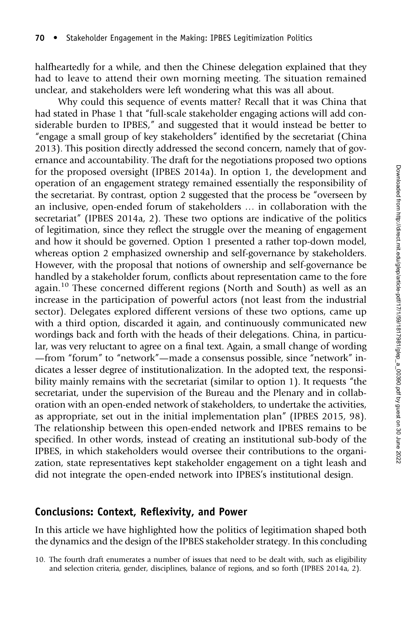halfheartedly for a while, and then the Chinese delegation explained that they had to leave to attend their own morning meeting. The situation remained unclear, and stakeholders were left wondering what this was all about.

Why could this sequence of events matter? Recall that it was China that had stated in Phase 1 that "full-scale stakeholder engaging actions will add considerable burden to IPBES," and suggested that it would instead be better to "engage a small group of key stakeholders" identified by the secretariat (China 2013). This position directly addressed the second concern, namely that of governance and accountability. The draft for the negotiations proposed two options for the proposed oversight (IPBES 2014a). In option 1, the development and operation of an engagement strategy remained essentially the responsibility of the secretariat. By contrast, option 2 suggested that the process be "overseen by an inclusive, open-ended forum of stakeholders … in collaboration with the secretariat" (IPBES 2014a, 2). These two options are indicative of the politics of legitimation, since they reflect the struggle over the meaning of engagement and how it should be governed. Option 1 presented a rather top-down model, whereas option 2 emphasized ownership and self-governance by stakeholders. However, with the proposal that notions of ownership and self-governance be handled by a stakeholder forum, conflicts about representation came to the fore again.<sup>10</sup> These concerned different regions (North and South) as well as an increase in the participation of powerful actors (not least from the industrial sector). Delegates explored different versions of these two options, came up with a third option, discarded it again, and continuously communicated new wordings back and forth with the heads of their delegations. China, in particular, was very reluctant to agree on a final text. Again, a small change of wording —from "forum" to "network"—made a consensus possible, since "network" indicates a lesser degree of institutionalization. In the adopted text, the responsibility mainly remains with the secretariat (similar to option 1). It requests "the secretariat, under the supervision of the Bureau and the Plenary and in collaboration with an open-ended network of stakeholders, to undertake the activities, as appropriate, set out in the initial implementation plan" (IPBES 2015, 98). The relationship between this open-ended network and IPBES remains to be specified. In other words, instead of creating an institutional sub-body of the IPBES, in which stakeholders would oversee their contributions to the organization, state representatives kept stakeholder engagement on a tight leash and did not integrate the open-ended network into IPBES's institutional design.

#### Conclusions: Context, Reflexivity, and Power

In this article we have highlighted how the politics of legitimation shaped both the dynamics and the design of the IPBES stakeholder strategy. In this concluding

<sup>10.</sup> The fourth draft enumerates a number of issues that need to be dealt with, such as eligibility and selection criteria, gender, disciplines, balance of regions, and so forth (IPBES 2014a, 2).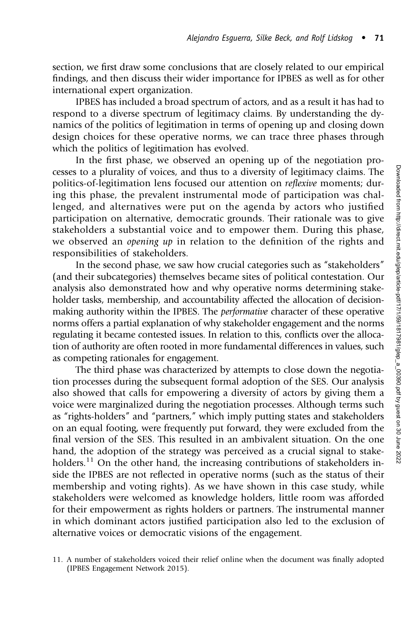section, we first draw some conclusions that are closely related to our empirical findings, and then discuss their wider importance for IPBES as well as for other international expert organization.

IPBES has included a broad spectrum of actors, and as a result it has had to respond to a diverse spectrum of legitimacy claims. By understanding the dynamics of the politics of legitimation in terms of opening up and closing down design choices for these operative norms, we can trace three phases through which the politics of legitimation has evolved.

In the first phase, we observed an opening up of the negotiation processes to a plurality of voices, and thus to a diversity of legitimacy claims. The politics-of-legitimation lens focused our attention on reflexive moments; during this phase, the prevalent instrumental mode of participation was challenged, and alternatives were put on the agenda by actors who justified participation on alternative, democratic grounds. Their rationale was to give stakeholders a substantial voice and to empower them. During this phase, we observed an *opening up* in relation to the definition of the rights and responsibilities of stakeholders.

In the second phase, we saw how crucial categories such as "stakeholders" (and their subcategories) themselves became sites of political contestation. Our analysis also demonstrated how and why operative norms determining stakeholder tasks, membership, and accountability affected the allocation of decisionmaking authority within the IPBES. The *performative* character of these operative norms offers a partial explanation of why stakeholder engagement and the norms regulating it became contested issues. In relation to this, conflicts over the allocation of authority are often rooted in more fundamental differences in values, such as competing rationales for engagement.

The third phase was characterized by attempts to close down the negotiation processes during the subsequent formal adoption of the SES. Our analysis also showed that calls for empowering a diversity of actors by giving them a voice were marginalized during the negotiation processes. Although terms such as "rights-holders" and "partners," which imply putting states and stakeholders on an equal footing, were frequently put forward, they were excluded from the final version of the SES. This resulted in an ambivalent situation. On the one hand, the adoption of the strategy was perceived as a crucial signal to stakeholders.<sup>11</sup> On the other hand, the increasing contributions of stakeholders inside the IPBES are not reflected in operative norms (such as the status of their membership and voting rights). As we have shown in this case study, while stakeholders were welcomed as knowledge holders, little room was afforded for their empowerment as rights holders or partners. The instrumental manner in which dominant actors justified participation also led to the exclusion of alternative voices or democratic visions of the engagement.

<sup>11.</sup> A number of stakeholders voiced their relief online when the document was finally adopted (IPBES Engagement Network 2015).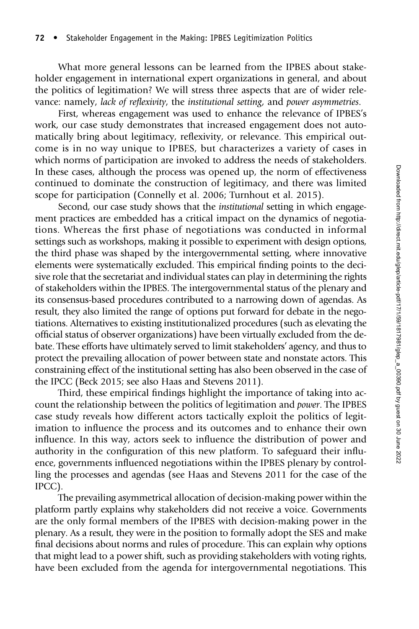What more general lessons can be learned from the IPBES about stakeholder engagement in international expert organizations in general, and about the politics of legitimation? We will stress three aspects that are of wider relevance: namely, lack of reflexivity, the institutional setting, and power asymmetries.

First, whereas engagement was used to enhance the relevance of IPBES's work, our case study demonstrates that increased engagement does not automatically bring about legitimacy, reflexivity, or relevance. This empirical outcome is in no way unique to IPBES, but characterizes a variety of cases in which norms of participation are invoked to address the needs of stakeholders. In these cases, although the process was opened up, the norm of effectiveness continued to dominate the construction of legitimacy, and there was limited scope for participation (Connelly et al. 2006; Turnhout et al. 2015).

Second, our case study shows that the institutional setting in which engagement practices are embedded has a critical impact on the dynamics of negotiations. Whereas the first phase of negotiations was conducted in informal settings such as workshops, making it possible to experiment with design options, the third phase was shaped by the intergovernmental setting, where innovative elements were systematically excluded. This empirical finding points to the decisive role that the secretariat and individual states can play in determining the rights of stakeholders within the IPBES. The intergovernmental status of the plenary and its consensus-based procedures contributed to a narrowing down of agendas. As result, they also limited the range of options put forward for debate in the negotiations. Alternatives to existing institutionalized procedures (such as elevating the official status of observer organizations) have been virtually excluded from the debate. These efforts have ultimately served to limit stakeholders' agency, and thus to protect the prevailing allocation of power between state and nonstate actors. This constraining effect of the institutional setting has also been observed in the case of the IPCC (Beck 2015; see also Haas and Stevens 2011).

Third, these empirical findings highlight the importance of taking into account the relationship between the politics of legitimation and power. The IPBES case study reveals how different actors tactically exploit the politics of legitimation to influence the process and its outcomes and to enhance their own influence. In this way, actors seek to influence the distribution of power and authority in the configuration of this new platform. To safeguard their influence, governments influenced negotiations within the IPBES plenary by controlling the processes and agendas (see Haas and Stevens 2011 for the case of the IPCC).

The prevailing asymmetrical allocation of decision-making power within the platform partly explains why stakeholders did not receive a voice. Governments are the only formal members of the IPBES with decision-making power in the plenary. As a result, they were in the position to formally adopt the SES and make final decisions about norms and rules of procedure. This can explain why options that might lead to a power shift, such as providing stakeholders with voting rights, have been excluded from the agenda for intergovernmental negotiations. This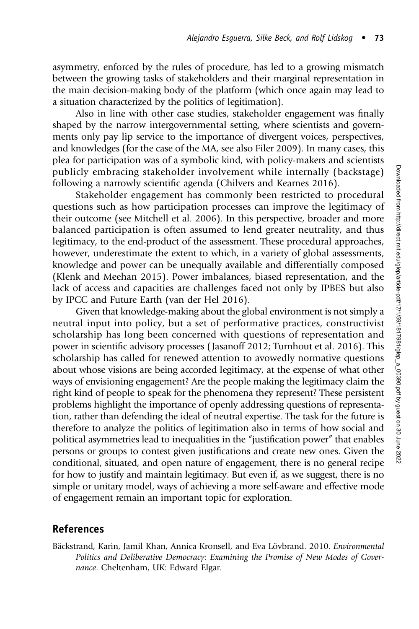asymmetry, enforced by the rules of procedure, has led to a growing mismatch between the growing tasks of stakeholders and their marginal representation in the main decision-making body of the platform (which once again may lead to a situation characterized by the politics of legitimation).

Also in line with other case studies, stakeholder engagement was finally shaped by the narrow intergovernmental setting, where scientists and governments only pay lip service to the importance of divergent voices, perspectives, and knowledges (for the case of the MA, see also Filer 2009). In many cases, this plea for participation was of a symbolic kind, with policy-makers and scientists publicly embracing stakeholder involvement while internally (backstage) following a narrowly scientific agenda (Chilvers and Kearnes 2016).

Stakeholder engagement has commonly been restricted to procedural questions such as how participation processes can improve the legitimacy of their outcome (see Mitchell et al. 2006). In this perspective, broader and more balanced participation is often assumed to lend greater neutrality, and thus legitimacy, to the end-product of the assessment. These procedural approaches, however, underestimate the extent to which, in a variety of global assessments, knowledge and power can be unequally available and differentially composed (Klenk and Meehan 2015). Power imbalances, biased representation, and the lack of access and capacities are challenges faced not only by IPBES but also by IPCC and Future Earth (van der Hel 2016).

Given that knowledge-making about the global environment is not simply a neutral input into policy, but a set of performative practices, constructivist scholarship has long been concerned with questions of representation and power in scientific advisory processes ( Jasanoff 2012; Turnhout et al. 2016). This scholarship has called for renewed attention to avowedly normative questions about whose visions are being accorded legitimacy, at the expense of what other ways of envisioning engagement? Are the people making the legitimacy claim the right kind of people to speak for the phenomena they represent? These persistent problems highlight the importance of openly addressing questions of representation, rather than defending the ideal of neutral expertise. The task for the future is therefore to analyze the politics of legitimation also in terms of how social and political asymmetries lead to inequalities in the "justification power" that enables persons or groups to contest given justifications and create new ones. Given the conditional, situated, and open nature of engagement, there is no general recipe for how to justify and maintain legitimacy. But even if, as we suggest, there is no simple or unitary model, ways of achieving a more self-aware and effective mode of engagement remain an important topic for exploration.

### References

Bäckstrand, Karin, Jamil Khan, Annica Kronsell, and Eva Lövbrand. 2010. Environmental Politics and Deliberative Democracy: Examining the Promise of New Modes of Governance. Cheltenham, UK: Edward Elgar.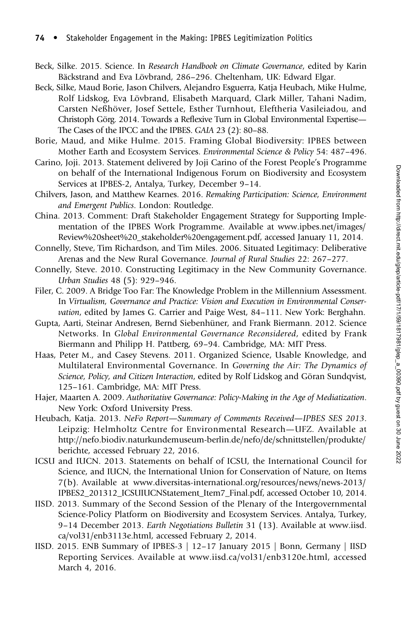- Beck, Silke. 2015. Science. In Research Handbook on Climate Governance, edited by Karin Bäckstrand and Eva Lövbrand, 286–296. Cheltenham, UK: Edward Elgar.
- Beck, Silke, Maud Borie, Jason Chilvers, Alejandro Esguerra, Katja Heubach, Mike Hulme, Rolf Lidskog, Eva Lövbrand, Elisabeth Marquard, Clark Miller, Tahani Nadim, Carsten Neßhöver, Josef Settele, Esther Turnhout, Eleftheria Vasileiadou, and Christoph Görg. 2014. Towards a Reflexive Turn in Global Environmental Expertise— The Cases of the IPCC and the IPBES. GAIA 23 (2): 80–88.
- Borie, Maud, and Mike Hulme. 2015. Framing Global Biodiversity: IPBES between Mother Earth and Ecosystem Services. Environmental Science & Policy 54: 487–496.
- Carino, Joji. 2013. Statement delivered by Joji Carino of the Forest People's Programme on behalf of the International Indigenous Forum on Biodiversity and Ecosystem Services at IPBES-2, Antalya, Turkey, December 9–14.
- Chilvers, Jason, and Matthew Kearnes. 2016. Remaking Participation: Science, Environment and Emergent Publics. London: Routledge.
- China. 2013. Comment: Draft Stakeholder Engagement Strategy for Supporting Implementation of the IPBES Work Programme. Available at www.ipbes.net/images/ Review%20sheet%20\_stakeholder%20engagement.pdf, accessed January 11, 2014.
- Connelly, Steve, Tim Richardson, and Tim Miles. 2006. Situated Legitimacy: Deliberative Arenas and the New Rural Governance. Journal of Rural Studies 22: 267–277.
- Connelly, Steve. 2010. Constructing Legitimacy in the New Community Governance. Urban Studies 48 (5): 929–946.
- Filer, C. 2009. A Bridge Too Far: The Knowledge Problem in the Millennium Assessment. In Virtualism, Governance and Practice: Vision and Execution in Environmental Conservation, edited by James G. Carrier and Paige West, 84–111. New York: Berghahn.
- Gupta, Aarti, Steinar Andresen, Bernd Siebenhüner, and Frank Biermann. 2012. Science Networks. In Global Environmental Governance Reconsidered, edited by Frank Biermann and Philipp H. Pattberg, 69–94. Cambridge, MA: MIT Press.
- Haas, Peter M., and Casey Stevens. 2011. Organized Science, Usable Knowledge, and Multilateral Environmental Governance. In Governing the Air: The Dynamics of Science, Policy, and Citizen Interaction, edited by Rolf Lidskog and Göran Sundqvist, 125–161. Cambridge, MA: MIT Press.
- Hajer, Maarten A. 2009. Authoritative Governance: Policy-Making in the Age of Mediatization. New York: Oxford University Press.
- Heubach, Katja. 2013. NeFo Report—Summary of Comments Received—IPBES SES 2013. Leipzig: Helmholtz Centre for Environmental Research—UFZ. Available at http://nefo.biodiv.naturkundemuseum-berlin.de/nefo/de/schnittstellen/produkte/ berichte, accessed February 22, 2016.
- ICSU and IUCN. 2013. Statements on behalf of ICSU, the International Council for Science, and IUCN, the International Union for Conservation of Nature, on Items 7(b). Available at www.diversitas-international.org/resources/news/news-2013/ IPBES2\_201312\_ICSUIUCNStatement\_Item7\_Final.pdf, accessed October 10, 2014.
- IISD. 2013. Summary of the Second Session of the Plenary of the Intergovernmental Science-Policy Platform on Biodiversity and Ecosystem Services. Antalya, Turkey, 9–14 December 2013. Earth Negotiations Bulletin 31 (13). Available at www.iisd. ca/vol31/enb3113e.html, accessed February 2, 2014.
- IISD. 2015. ENB Summary of IPBES-3 | 12–17 January 2015 | Bonn, Germany | IISD Reporting Services. Available at www.iisd.ca/vol31/enb3120e.html, accessed March 4, 2016.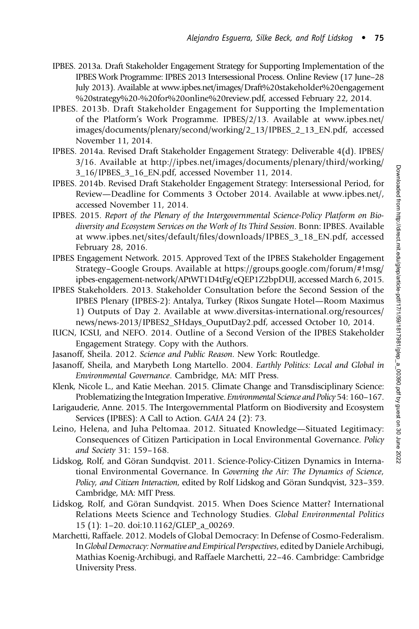- IPBES. 2013a. Draft Stakeholder Engagement Strategy for Supporting Implementation of the IPBES Work Programme: IPBES 2013 Intersessional Process. Online Review (17 June–28 July 2013). Available at www.ipbes.net/images/Draft%20stakeholder%20engagement %20strategy%20-%20for%20online%20review.pdf, accessed February 22, 2014.
- IPBES. 2013b. Draft Stakeholder Engagement for Supporting the Implementation of the Platform's Work Programme. IPBES/2/13. Available at www.ipbes.net/ images/documents/plenary/second/working/2\_13/ IPBES\_2\_13\_EN.pdf, accessed November 11, 2014.
- IPBES. 2014a. Revised Draft Stakeholder Engagement Strategy: Deliverable 4(d). IPBES/ 3/16. Available at http://ipbes.net/images/documents/plenary/third/working/ 3\_16/ IPBES\_3\_16\_EN.pdf, accessed November 11, 2014.
- IPBES. 2014b. Revised Draft Stakeholder Engagement Strategy: Intersessional Period, for Review—Deadline for Comments 3 October 2014. Available at www.ipbes.net/, accessed November 11, 2014.
- IPBES. 2015. Report of the Plenary of the Intergovernmental Science-Policy Platform on Biodiversity and Ecosystem Services on the Work of Its Third Session. Bonn: IPBES. Available at www.ipbes.net/sites/default/files/downloads/IPBES\_3\_18\_EN.pdf, accessed February 28, 2016.
- IPBES Engagement Network. 2015. Approved Text of the IPBES Stakeholder Engagement Strategy–Google Groups. Available at https://groups.google.com/forum/#!msg/ ipbes-engagement-network/APtWT1D4tFg/eQEP1Z2bpDUJ, accessed March 6, 2015.
- IPBES Stakeholders. 2013. Stakeholder Consultation before the Second Session of the IPBES Plenary (IPBES-2): Antalya, Turkey (Rixos Sungate Hotel—Room Maximus 1) Outputs of Day 2. Available at www.diversitas-international.org/resources/ news/news-2013/ IPBES2\_SHdays\_OuputDay2.pdf, accessed October 10, 2014.
- IUCN, ICSU, and NEFO. 2014. Outline of a Second Version of the IPBES Stakeholder Engagement Strategy. Copy with the Authors.
- Jasanoff, Sheila. 2012. Science and Public Reason. New York: Routledge.
- Jasanoff, Sheila, and Marybeth Long Martello. 2004. Earthly Politics: Local and Global in Environmental Governance. Cambridge, MA: MIT Press.
- Klenk, Nicole L., and Katie Meehan. 2015. Climate Change and Transdisciplinary Science: Problematizing the Integration Imperative. Environmental Science and Policy 54: 160–167.
- Larigauderie, Anne. 2015. The Intergovernmental Platform on Biodiversity and Ecosystem Services (IPBES): A Call to Action. GAIA 24 (2): 73.
- Leino, Helena, and Juha Peltomaa. 2012. Situated Knowledge—Situated Legitimacy: Consequences of Citizen Participation in Local Environmental Governance. Policy and Society 31: 159–168.
- Lidskog, Rolf, and Göran Sundqvist. 2011. Science-Policy-Citizen Dynamics in International Environmental Governance. In Governing the Air: The Dynamics of Science, Policy, and Citizen Interaction, edited by Rolf Lidskog and Göran Sundqvist, 323–359. Cambridge, MA: MIT Press.
- Lidskog, Rolf, and Göran Sundqvist. 2015. When Does Science Matter? International Relations Meets Science and Technology Studies. Global Environmental Politics 15 (1): 1–20. doi:10.1162/GLEP\_a\_00269.
- Marchetti, Raffaele. 2012. Models of Global Democracy: In Defense of Cosmo-Federalism. InGlobal Democracy: Normative and Empirical Perspectives, edited by Daniele Archibugi, Mathias Koenig-Archibugi, and Raffaele Marchetti, 22–46. Cambridge: Cambridge University Press.